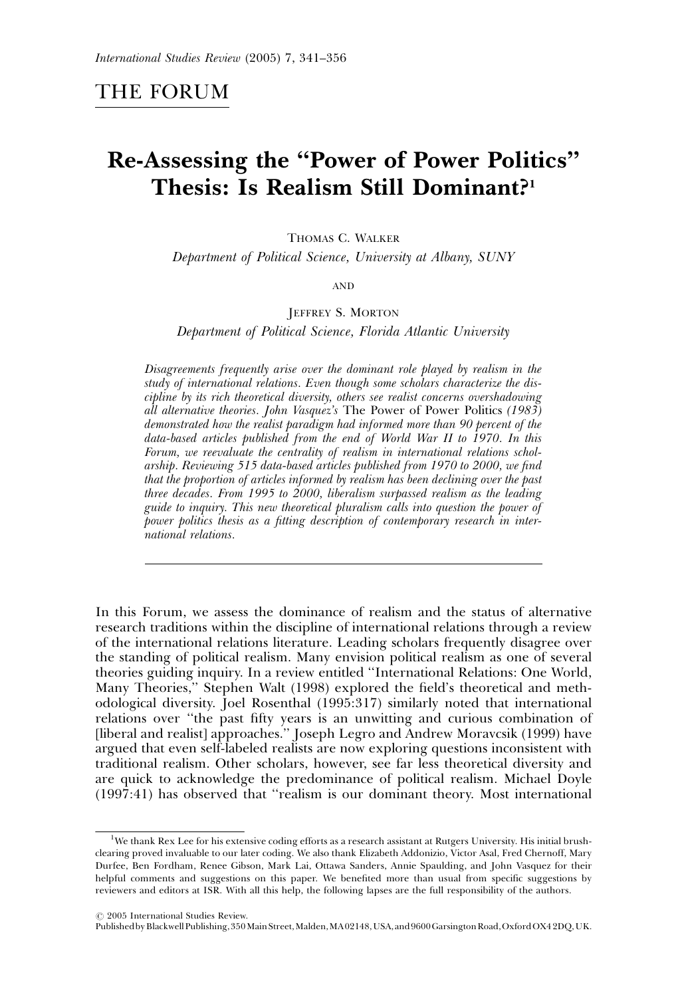# Re-Assessing the ''Power of Power Politics'' Thesis: Is Realism Still Dominant?1

THOMAS C. WALKER

Department of Political Science, University at Albany, SUNY

AND

#### JEFFREY S. MORTON

Department of Political Science, Florida Atlantic University

Disagreements frequently arise over the dominant role played by realism in the study of international relations. Even though some scholars characterize the discipline by its rich theoretical diversity, others see realist concerns overshadowing all alternative theories. John Vasquez's The Power of Power Politics (1983) demonstrated how the realist paradigm had informed more than 90 percent of the data-based articles published from the end of World War II to 1970. In this Forum, we reevaluate the centrality of realism in international relations scholarship. Reviewing 515 data-based articles published from 1970 to 2000, we find that the proportion of articles informed by realism has been declining over the past three decades. From 1995 to 2000, liberalism surpassed realism as the leading guide to inquiry. This new theoretical pluralism calls into question the power of power politics thesis as a fitting description of contemporary research in international relations.

In this Forum, we assess the dominance of realism and the status of alternative research traditions within the discipline of international relations through a review of the international relations literature. Leading scholars frequently disagree over the standing of political realism. Many envision political realism as one of several theories guiding inquiry. In a review entitled ''International Relations: One World, Many Theories,'' Stephen Walt (1998) explored the field's theoretical and methodological diversity. Joel Rosenthal (1995:317) similarly noted that international relations over ''the past fifty years is an unwitting and curious combination of [liberal and realist] approaches.'' Joseph Legro and Andrew Moravcsik (1999) have argued that even self-labeled realists are now exploring questions inconsistent with traditional realism. Other scholars, however, see far less theoretical diversity and are quick to acknowledge the predominance of political realism. Michael Doyle (1997:41) has observed that ''realism is our dominant theory. Most international

<sup>&</sup>lt;sup>1</sup>We thank Rex Lee for his extensive coding efforts as a research assistant at Rutgers University. His initial brushclearing proved invaluable to our later coding. We also thank Elizabeth Addonizio, Victor Asal, Fred Chernoff, Mary Durfee, Ben Fordham, Renee Gibson, Mark Lai, Ottawa Sanders, Annie Spaulding, and John Vasquez for their helpful comments and suggestions on this paper. We benefited more than usual from specific suggestions by reviewers and editors at ISR. With all this help, the following lapses are the full responsibility of the authors.

 $O$  2005 International Studies Review.

PublishedbyBlackwellPublishing,350MainStreet,Malden,MA02148,USA,and9600GarsingtonRoad,OxfordOX42DQ,UK.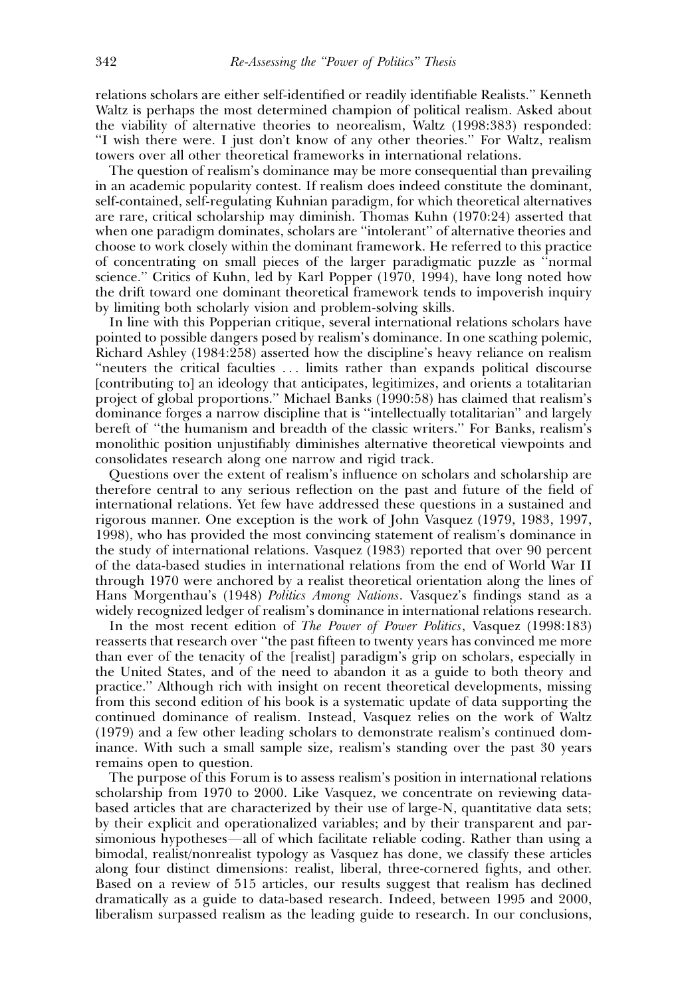relations scholars are either self-identified or readily identifiable Realists.'' Kenneth Waltz is perhaps the most determined champion of political realism. Asked about the viability of alternative theories to neorealism, Waltz (1998:383) responded: "I wish there were. I just don't know of any other theories." For Waltz, realism towers over all other theoretical frameworks in international relations.

The question of realism's dominance may be more consequential than prevailing in an academic popularity contest. If realism does indeed constitute the dominant, self-contained, self-regulating Kuhnian paradigm, for which theoretical alternatives are rare, critical scholarship may diminish. Thomas Kuhn (1970:24) asserted that when one paradigm dominates, scholars are ''intolerant'' of alternative theories and choose to work closely within the dominant framework. He referred to this practice of concentrating on small pieces of the larger paradigmatic puzzle as ''normal science.'' Critics of Kuhn, led by Karl Popper (1970, 1994), have long noted how the drift toward one dominant theoretical framework tends to impoverish inquiry by limiting both scholarly vision and problem-solving skills.

In line with this Popperian critique, several international relations scholars have pointed to possible dangers posed by realism's dominance. In one scathing polemic, Richard Ashley (1984:258) asserted how the discipline's heavy reliance on realism ''neuters the critical faculties . . . limits rather than expands political discourse [contributing to] an ideology that anticipates, legitimizes, and orients a totalitarian project of global proportions.'' Michael Banks (1990:58) has claimed that realism's dominance forges a narrow discipline that is ''intellectually totalitarian'' and largely bereft of ''the humanism and breadth of the classic writers.'' For Banks, realism's monolithic position unjustifiably diminishes alternative theoretical viewpoints and consolidates research along one narrow and rigid track.

Questions over the extent of realism's influence on scholars and scholarship are therefore central to any serious reflection on the past and future of the field of international relations. Yet few have addressed these questions in a sustained and rigorous manner. One exception is the work of John Vasquez (1979, 1983, 1997, 1998), who has provided the most convincing statement of realism's dominance in the study of international relations. Vasquez (1983) reported that over 90 percent of the data-based studies in international relations from the end of World War II through 1970 were anchored by a realist theoretical orientation along the lines of Hans Morgenthau's (1948) Politics Among Nations. Vasquez's findings stand as a widely recognized ledger of realism's dominance in international relations research.

In the most recent edition of The Power of Power Politics, Vasquez (1998:183) reasserts that research over ''the past fifteen to twenty years has convinced me more than ever of the tenacity of the [realist] paradigm's grip on scholars, especially in the United States, and of the need to abandon it as a guide to both theory and practice.'' Although rich with insight on recent theoretical developments, missing from this second edition of his book is a systematic update of data supporting the continued dominance of realism. Instead, Vasquez relies on the work of Waltz (1979) and a few other leading scholars to demonstrate realism's continued dominance. With such a small sample size, realism's standing over the past 30 years remains open to question.

The purpose of this Forum is to assess realism's position in international relations scholarship from 1970 to 2000. Like Vasquez, we concentrate on reviewing databased articles that are characterized by their use of large-N, quantitative data sets; by their explicit and operationalized variables; and by their transparent and parsimonious hypotheses—all of which facilitate reliable coding. Rather than using a bimodal, realist/nonrealist typology as Vasquez has done, we classify these articles along four distinct dimensions: realist, liberal, three-cornered fights, and other. Based on a review of 515 articles, our results suggest that realism has declined dramatically as a guide to data-based research. Indeed, between 1995 and 2000, liberalism surpassed realism as the leading guide to research. In our conclusions,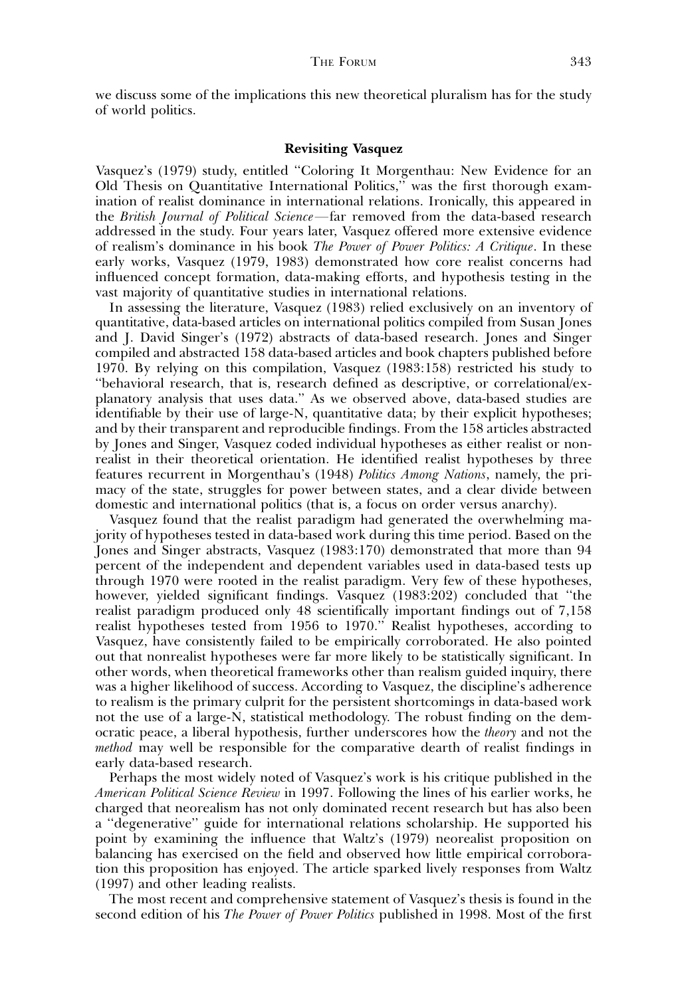we discuss some of the implications this new theoretical pluralism has for the study of world politics.

# Revisiting Vasquez

Vasquez's (1979) study, entitled ''Coloring It Morgenthau: New Evidence for an Old Thesis on Quantitative International Politics,'' was the first thorough examination of realist dominance in international relations. Ironically, this appeared in the *British Journal of Political Science*—far removed from the data-based research addressed in the study. Four years later, Vasquez offered more extensive evidence of realism's dominance in his book The Power of Power Politics: A Critique. In these early works, Vasquez (1979, 1983) demonstrated how core realist concerns had influenced concept formation, data-making efforts, and hypothesis testing in the vast majority of quantitative studies in international relations.

In assessing the literature, Vasquez (1983) relied exclusively on an inventory of quantitative, data-based articles on international politics compiled from Susan Jones and J. David Singer's (1972) abstracts of data-based research. Jones and Singer compiled and abstracted 158 data-based articles and book chapters published before 1970. By relying on this compilation, Vasquez (1983:158) restricted his study to ''behavioral research, that is, research defined as descriptive, or correlational/explanatory analysis that uses data.'' As we observed above, data-based studies are identifiable by their use of large-N, quantitative data; by their explicit hypotheses; and by their transparent and reproducible findings. From the 158 articles abstracted by Jones and Singer, Vasquez coded individual hypotheses as either realist or nonrealist in their theoretical orientation. He identified realist hypotheses by three features recurrent in Morgenthau's (1948) Politics Among Nations, namely, the primacy of the state, struggles for power between states, and a clear divide between domestic and international politics (that is, a focus on order versus anarchy).

Vasquez found that the realist paradigm had generated the overwhelming majority of hypotheses tested in data-based work during this time period. Based on the Jones and Singer abstracts, Vasquez (1983:170) demonstrated that more than 94 percent of the independent and dependent variables used in data-based tests up through 1970 were rooted in the realist paradigm. Very few of these hypotheses, however, yielded significant findings. Vasquez (1983:202) concluded that ''the realist paradigm produced only 48 scientifically important findings out of 7,158 realist hypotheses tested from 1956 to 1970.'' Realist hypotheses, according to Vasquez, have consistently failed to be empirically corroborated. He also pointed out that nonrealist hypotheses were far more likely to be statistically significant. In other words, when theoretical frameworks other than realism guided inquiry, there was a higher likelihood of success. According to Vasquez, the discipline's adherence to realism is the primary culprit for the persistent shortcomings in data-based work not the use of a large-N, statistical methodology. The robust finding on the democratic peace, a liberal hypothesis, further underscores how the theory and not the method may well be responsible for the comparative dearth of realist findings in early data-based research.

Perhaps the most widely noted of Vasquez's work is his critique published in the American Political Science Review in 1997. Following the lines of his earlier works, he charged that neorealism has not only dominated recent research but has also been a ''degenerative'' guide for international relations scholarship. He supported his point by examining the influence that Waltz's (1979) neorealist proposition on balancing has exercised on the field and observed how little empirical corroboration this proposition has enjoyed. The article sparked lively responses from Waltz (1997) and other leading realists.

The most recent and comprehensive statement of Vasquez's thesis is found in the second edition of his *The Power of Power Politics* published in 1998. Most of the first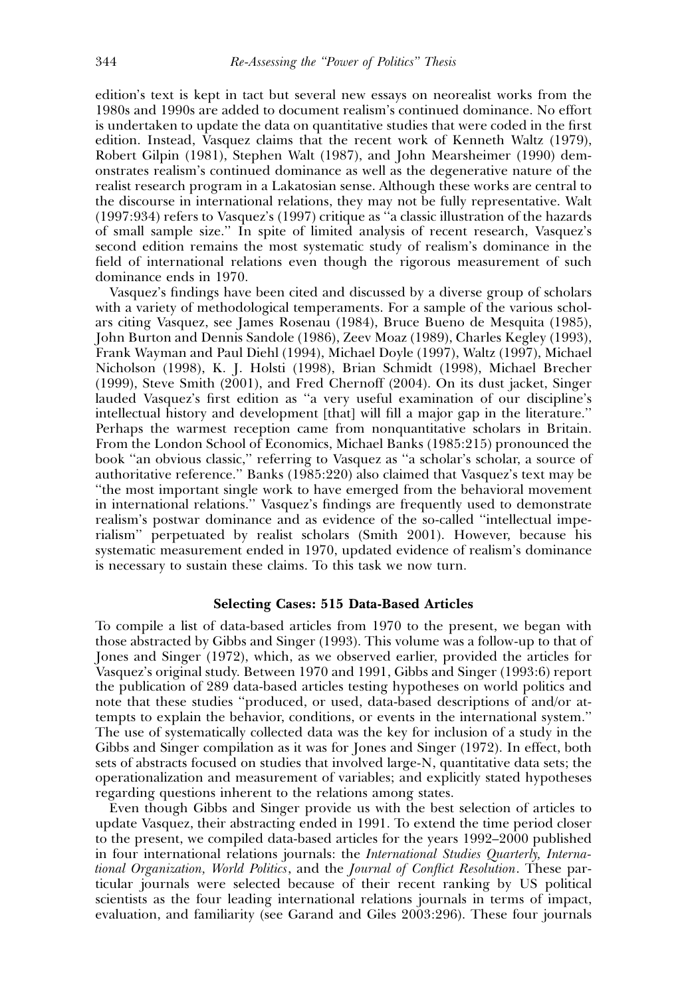edition's text is kept in tact but several new essays on neorealist works from the 1980s and 1990s are added to document realism's continued dominance. No effort is undertaken to update the data on quantitative studies that were coded in the first edition. Instead, Vasquez claims that the recent work of Kenneth Waltz (1979), Robert Gilpin (1981), Stephen Walt (1987), and John Mearsheimer (1990) demonstrates realism's continued dominance as well as the degenerative nature of the realist research program in a Lakatosian sense. Although these works are central to the discourse in international relations, they may not be fully representative. Walt (1997:934) refers to Vasquez's (1997) critique as ''a classic illustration of the hazards of small sample size.'' In spite of limited analysis of recent research, Vasquez's second edition remains the most systematic study of realism's dominance in the field of international relations even though the rigorous measurement of such dominance ends in 1970.

Vasquez's findings have been cited and discussed by a diverse group of scholars with a variety of methodological temperaments. For a sample of the various scholars citing Vasquez, see James Rosenau (1984), Bruce Bueno de Mesquita (1985), John Burton and Dennis Sandole (1986), Zeev Moaz (1989), Charles Kegley (1993), Frank Wayman and Paul Diehl (1994), Michael Doyle (1997), Waltz (1997), Michael Nicholson (1998), K. J. Holsti (1998), Brian Schmidt (1998), Michael Brecher (1999), Steve Smith (2001), and Fred Chernoff (2004). On its dust jacket, Singer lauded Vasquez's first edition as ''a very useful examination of our discipline's intellectual history and development [that] will fill a major gap in the literature.'' Perhaps the warmest reception came from nonquantitative scholars in Britain. From the London School of Economics, Michael Banks (1985:215) pronounced the book ''an obvious classic,'' referring to Vasquez as ''a scholar's scholar, a source of authoritative reference.'' Banks (1985:220) also claimed that Vasquez's text may be ''the most important single work to have emerged from the behavioral movement in international relations.'' Vasquez's findings are frequently used to demonstrate realism's postwar dominance and as evidence of the so-called ''intellectual imperialism'' perpetuated by realist scholars (Smith 2001). However, because his systematic measurement ended in 1970, updated evidence of realism's dominance is necessary to sustain these claims. To this task we now turn.

# Selecting Cases: 515 Data-Based Articles

To compile a list of data-based articles from 1970 to the present, we began with those abstracted by Gibbs and Singer (1993). This volume was a follow-up to that of Jones and Singer (1972), which, as we observed earlier, provided the articles for Vasquez's original study. Between 1970 and 1991, Gibbs and Singer (1993:6) report the publication of 289 data-based articles testing hypotheses on world politics and note that these studies ''produced, or used, data-based descriptions of and/or attempts to explain the behavior, conditions, or events in the international system.'' The use of systematically collected data was the key for inclusion of a study in the Gibbs and Singer compilation as it was for Jones and Singer (1972). In effect, both sets of abstracts focused on studies that involved large-N, quantitative data sets; the operationalization and measurement of variables; and explicitly stated hypotheses regarding questions inherent to the relations among states.

Even though Gibbs and Singer provide us with the best selection of articles to update Vasquez, their abstracting ended in 1991. To extend the time period closer to the present, we compiled data-based articles for the years 1992–2000 published in four international relations journals: the International Studies Quarterly, International Organization, World Politics, and the Journal of Conflict Resolution. These particular journals were selected because of their recent ranking by US political scientists as the four leading international relations journals in terms of impact, evaluation, and familiarity (see Garand and Giles 2003:296). These four journals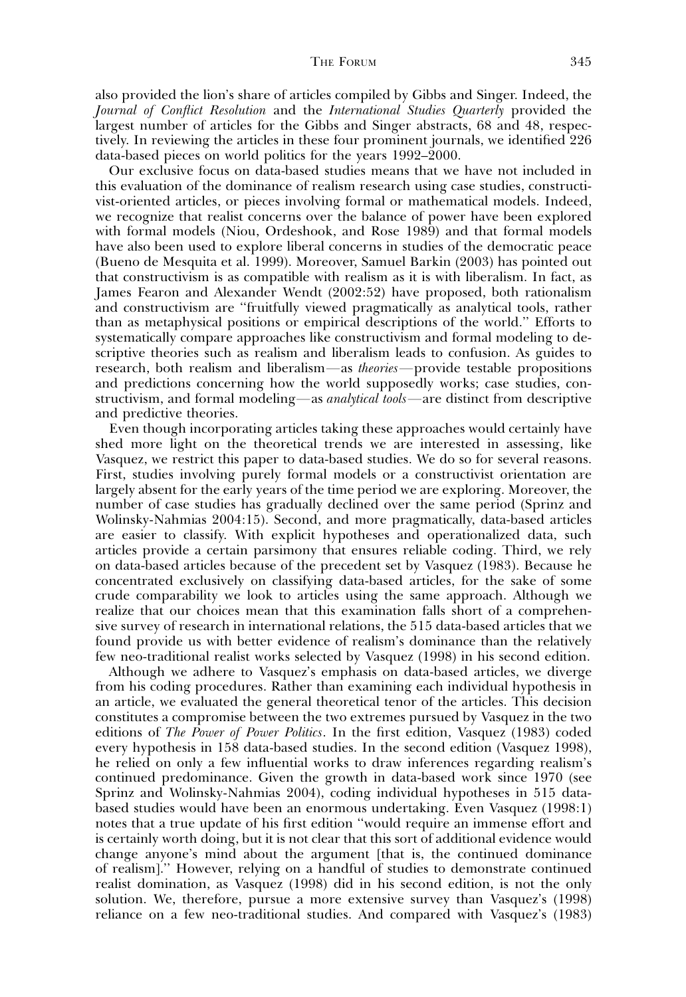also provided the lion's share of articles compiled by Gibbs and Singer. Indeed, the Journal of Conflict Resolution and the International Studies Quarterly provided the largest number of articles for the Gibbs and Singer abstracts, 68 and 48, respectively. In reviewing the articles in these four prominent journals, we identified 226 data-based pieces on world politics for the years 1992–2000.

Our exclusive focus on data-based studies means that we have not included in this evaluation of the dominance of realism research using case studies, constructivist-oriented articles, or pieces involving formal or mathematical models. Indeed, we recognize that realist concerns over the balance of power have been explored with formal models (Niou, Ordeshook, and Rose 1989) and that formal models have also been used to explore liberal concerns in studies of the democratic peace (Bueno de Mesquita et al. 1999). Moreover, Samuel Barkin (2003) has pointed out that constructivism is as compatible with realism as it is with liberalism. In fact, as James Fearon and Alexander Wendt (2002:52) have proposed, both rationalism and constructivism are ''fruitfully viewed pragmatically as analytical tools, rather than as metaphysical positions or empirical descriptions of the world.'' Efforts to systematically compare approaches like constructivism and formal modeling to descriptive theories such as realism and liberalism leads to confusion. As guides to research, both realism and liberalism—as theories—provide testable propositions and predictions concerning how the world supposedly works; case studies, constructivism, and formal modeling—as *analytical tools*—are distinct from descriptive and predictive theories.

Even though incorporating articles taking these approaches would certainly have shed more light on the theoretical trends we are interested in assessing, like Vasquez, we restrict this paper to data-based studies. We do so for several reasons. First, studies involving purely formal models or a constructivist orientation are largely absent for the early years of the time period we are exploring. Moreover, the number of case studies has gradually declined over the same period (Sprinz and Wolinsky-Nahmias 2004:15). Second, and more pragmatically, data-based articles are easier to classify. With explicit hypotheses and operationalized data, such articles provide a certain parsimony that ensures reliable coding. Third, we rely on data-based articles because of the precedent set by Vasquez (1983). Because he concentrated exclusively on classifying data-based articles, for the sake of some crude comparability we look to articles using the same approach. Although we realize that our choices mean that this examination falls short of a comprehensive survey of research in international relations, the 515 data-based articles that we found provide us with better evidence of realism's dominance than the relatively few neo-traditional realist works selected by Vasquez (1998) in his second edition.

Although we adhere to Vasquez's emphasis on data-based articles, we diverge from his coding procedures. Rather than examining each individual hypothesis in an article, we evaluated the general theoretical tenor of the articles. This decision constitutes a compromise between the two extremes pursued by Vasquez in the two editions of The Power of Power Politics. In the first edition, Vasquez (1983) coded every hypothesis in 158 data-based studies. In the second edition (Vasquez 1998), he relied on only a few influential works to draw inferences regarding realism's continued predominance. Given the growth in data-based work since 1970 (see Sprinz and Wolinsky-Nahmias 2004), coding individual hypotheses in 515 databased studies would have been an enormous undertaking. Even Vasquez (1998:1) notes that a true update of his first edition ''would require an immense effort and is certainly worth doing, but it is not clear that this sort of additional evidence would change anyone's mind about the argument [that is, the continued dominance of realism].'' However, relying on a handful of studies to demonstrate continued realist domination, as Vasquez (1998) did in his second edition, is not the only solution. We, therefore, pursue a more extensive survey than Vasquez's (1998) reliance on a few neo-traditional studies. And compared with Vasquez's (1983)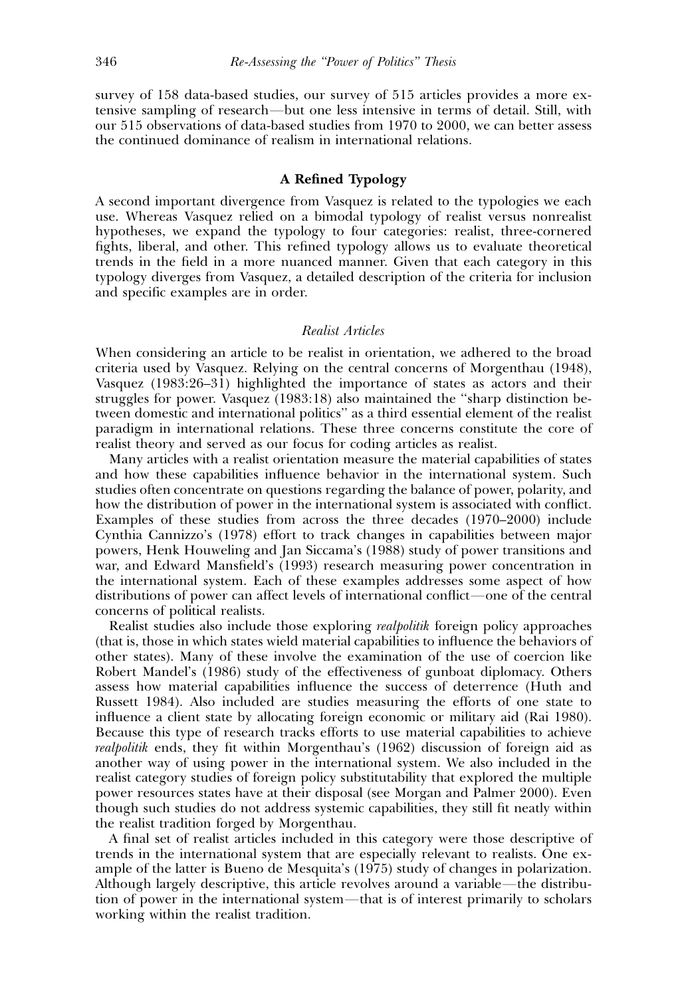survey of 158 data-based studies, our survey of 515 articles provides a more extensive sampling of research—but one less intensive in terms of detail. Still, with our 515 observations of data-based studies from 1970 to 2000, we can better assess the continued dominance of realism in international relations.

### A Refined Typology

A second important divergence from Vasquez is related to the typologies we each use. Whereas Vasquez relied on a bimodal typology of realist versus nonrealist hypotheses, we expand the typology to four categories: realist, three-cornered fights, liberal, and other. This refined typology allows us to evaluate theoretical trends in the field in a more nuanced manner. Given that each category in this typology diverges from Vasquez, a detailed description of the criteria for inclusion and specific examples are in order.

# Realist Articles

When considering an article to be realist in orientation, we adhered to the broad criteria used by Vasquez. Relying on the central concerns of Morgenthau (1948), Vasquez (1983:26–31) highlighted the importance of states as actors and their struggles for power. Vasquez (1983:18) also maintained the ''sharp distinction between domestic and international politics'' as a third essential element of the realist paradigm in international relations. These three concerns constitute the core of realist theory and served as our focus for coding articles as realist.

Many articles with a realist orientation measure the material capabilities of states and how these capabilities influence behavior in the international system. Such studies often concentrate on questions regarding the balance of power, polarity, and how the distribution of power in the international system is associated with conflict. Examples of these studies from across the three decades (1970–2000) include Cynthia Cannizzo's (1978) effort to track changes in capabilities between major powers, Henk Houweling and Jan Siccama's (1988) study of power transitions and war, and Edward Mansfield's (1993) research measuring power concentration in the international system. Each of these examples addresses some aspect of how distributions of power can affect levels of international conflict—one of the central concerns of political realists.

Realist studies also include those exploring realpolitik foreign policy approaches (that is, those in which states wield material capabilities to influence the behaviors of other states). Many of these involve the examination of the use of coercion like Robert Mandel's (1986) study of the effectiveness of gunboat diplomacy. Others assess how material capabilities influence the success of deterrence (Huth and Russett 1984). Also included are studies measuring the efforts of one state to influence a client state by allocating foreign economic or military aid (Rai 1980). Because this type of research tracks efforts to use material capabilities to achieve realpolitik ends, they fit within Morgenthau's (1962) discussion of foreign aid as another way of using power in the international system. We also included in the realist category studies of foreign policy substitutability that explored the multiple power resources states have at their disposal (see Morgan and Palmer 2000). Even though such studies do not address systemic capabilities, they still fit neatly within the realist tradition forged by Morgenthau.

A final set of realist articles included in this category were those descriptive of trends in the international system that are especially relevant to realists. One example of the latter is Bueno de Mesquita's (1975) study of changes in polarization. Although largely descriptive, this article revolves around a variable—the distribution of power in the international system—that is of interest primarily to scholars working within the realist tradition.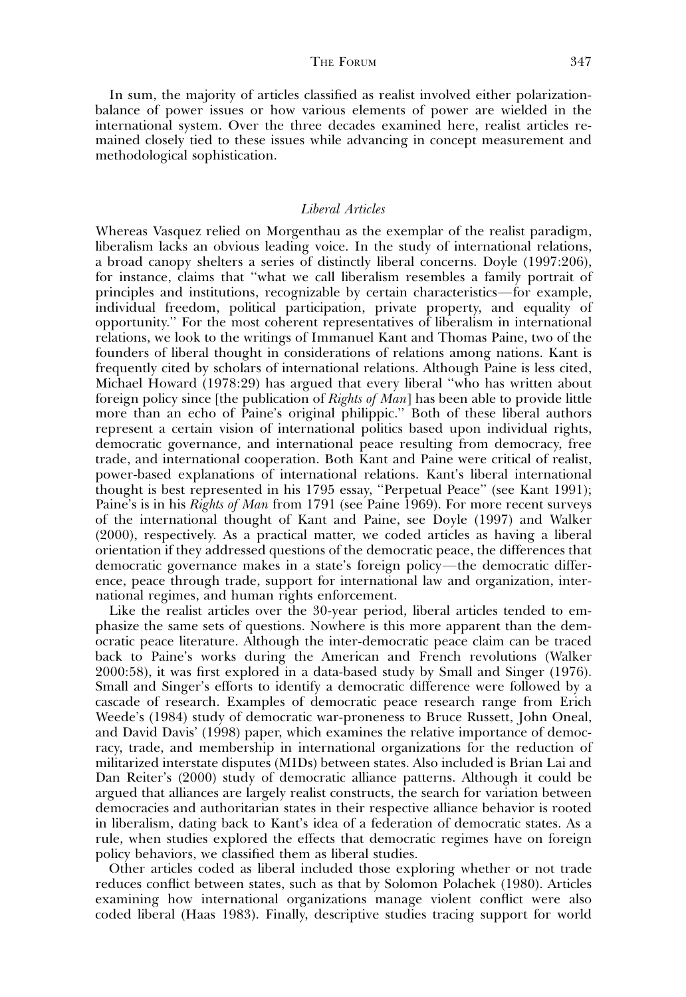In sum, the majority of articles classified as realist involved either polarizationbalance of power issues or how various elements of power are wielded in the international system. Over the three decades examined here, realist articles remained closely tied to these issues while advancing in concept measurement and methodological sophistication.

# Liberal Articles

Whereas Vasquez relied on Morgenthau as the exemplar of the realist paradigm, liberalism lacks an obvious leading voice. In the study of international relations, a broad canopy shelters a series of distinctly liberal concerns. Doyle (1997:206), for instance, claims that ''what we call liberalism resembles a family portrait of principles and institutions, recognizable by certain characteristics—for example, individual freedom, political participation, private property, and equality of opportunity.'' For the most coherent representatives of liberalism in international relations, we look to the writings of Immanuel Kant and Thomas Paine, two of the founders of liberal thought in considerations of relations among nations. Kant is frequently cited by scholars of international relations. Although Paine is less cited, Michael Howard (1978:29) has argued that every liberal ''who has written about foreign policy since [the publication of *Rights of Man*] has been able to provide little more than an echo of Paine's original philippic.'' Both of these liberal authors represent a certain vision of international politics based upon individual rights, democratic governance, and international peace resulting from democracy, free trade, and international cooperation. Both Kant and Paine were critical of realist, power-based explanations of international relations. Kant's liberal international thought is best represented in his 1795 essay, ''Perpetual Peace'' (see Kant 1991); Paine's is in his Rights of Man from 1791 (see Paine 1969). For more recent surveys of the international thought of Kant and Paine, see Doyle (1997) and Walker (2000), respectively. As a practical matter, we coded articles as having a liberal orientation if they addressed questions of the democratic peace, the differences that democratic governance makes in a state's foreign policy—the democratic difference, peace through trade, support for international law and organization, international regimes, and human rights enforcement.

Like the realist articles over the 30-year period, liberal articles tended to emphasize the same sets of questions. Nowhere is this more apparent than the democratic peace literature. Although the inter-democratic peace claim can be traced back to Paine's works during the American and French revolutions (Walker 2000:58), it was first explored in a data-based study by Small and Singer (1976). Small and Singer's efforts to identify a democratic difference were followed by a cascade of research. Examples of democratic peace research range from Erich Weede's (1984) study of democratic war-proneness to Bruce Russett, John Oneal, and David Davis' (1998) paper, which examines the relative importance of democracy, trade, and membership in international organizations for the reduction of militarized interstate disputes (MIDs) between states. Also included is Brian Lai and Dan Reiter's (2000) study of democratic alliance patterns. Although it could be argued that alliances are largely realist constructs, the search for variation between democracies and authoritarian states in their respective alliance behavior is rooted in liberalism, dating back to Kant's idea of a federation of democratic states. As a rule, when studies explored the effects that democratic regimes have on foreign policy behaviors, we classified them as liberal studies.

Other articles coded as liberal included those exploring whether or not trade reduces conflict between states, such as that by Solomon Polachek (1980). Articles examining how international organizations manage violent conflict were also coded liberal (Haas 1983). Finally, descriptive studies tracing support for world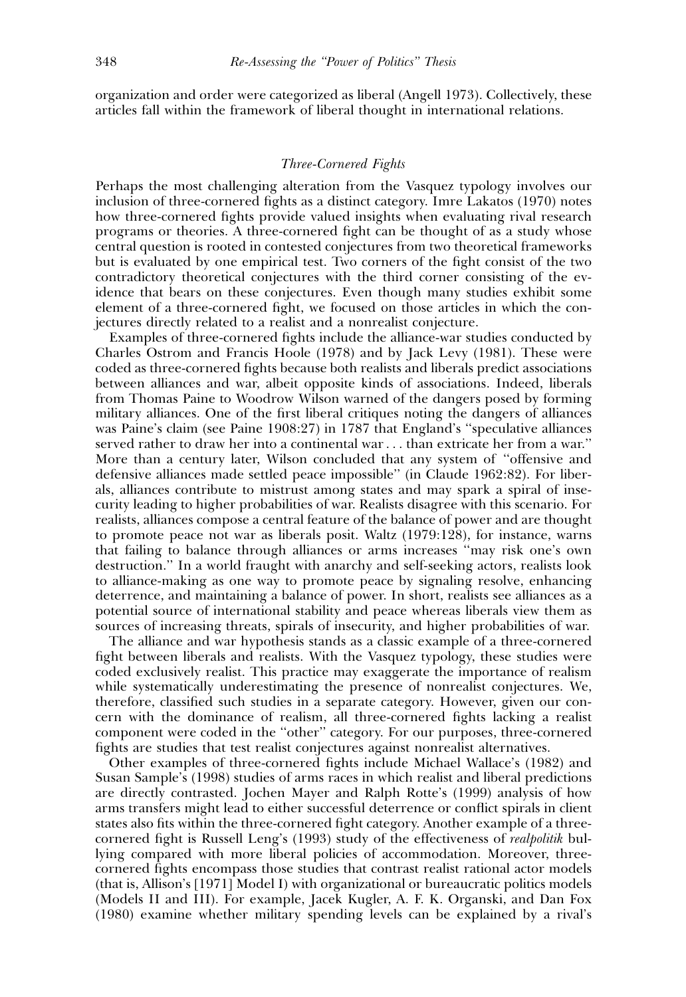organization and order were categorized as liberal (Angell 1973). Collectively, these articles fall within the framework of liberal thought in international relations.

#### Three-Cornered Fights

Perhaps the most challenging alteration from the Vasquez typology involves our inclusion of three-cornered fights as a distinct category. Imre Lakatos (1970) notes how three-cornered fights provide valued insights when evaluating rival research programs or theories. A three-cornered fight can be thought of as a study whose central question is rooted in contested conjectures from two theoretical frameworks but is evaluated by one empirical test. Two corners of the fight consist of the two contradictory theoretical conjectures with the third corner consisting of the evidence that bears on these conjectures. Even though many studies exhibit some element of a three-cornered fight, we focused on those articles in which the conjectures directly related to a realist and a nonrealist conjecture.

Examples of three-cornered fights include the alliance-war studies conducted by Charles Ostrom and Francis Hoole (1978) and by Jack Levy (1981). These were coded as three-cornered fights because both realists and liberals predict associations between alliances and war, albeit opposite kinds of associations. Indeed, liberals from Thomas Paine to Woodrow Wilson warned of the dangers posed by forming military alliances. One of the first liberal critiques noting the dangers of alliances was Paine's claim (see Paine 1908:27) in 1787 that England's ''speculative alliances served rather to draw her into a continental war . . . than extricate her from a war.'' More than a century later, Wilson concluded that any system of ''offensive and defensive alliances made settled peace impossible'' (in Claude 1962:82). For liberals, alliances contribute to mistrust among states and may spark a spiral of insecurity leading to higher probabilities of war. Realists disagree with this scenario. For realists, alliances compose a central feature of the balance of power and are thought to promote peace not war as liberals posit. Waltz (1979:128), for instance, warns that failing to balance through alliances or arms increases ''may risk one's own destruction.'' In a world fraught with anarchy and self-seeking actors, realists look to alliance-making as one way to promote peace by signaling resolve, enhancing deterrence, and maintaining a balance of power. In short, realists see alliances as a potential source of international stability and peace whereas liberals view them as sources of increasing threats, spirals of insecurity, and higher probabilities of war.

The alliance and war hypothesis stands as a classic example of a three-cornered fight between liberals and realists. With the Vasquez typology, these studies were coded exclusively realist. This practice may exaggerate the importance of realism while systematically underestimating the presence of nonrealist conjectures. We, therefore, classified such studies in a separate category. However, given our concern with the dominance of realism, all three-cornered fights lacking a realist component were coded in the ''other'' category. For our purposes, three-cornered fights are studies that test realist conjectures against nonrealist alternatives.

Other examples of three-cornered fights include Michael Wallace's (1982) and Susan Sample's (1998) studies of arms races in which realist and liberal predictions are directly contrasted. Jochen Mayer and Ralph Rotte's (1999) analysis of how arms transfers might lead to either successful deterrence or conflict spirals in client states also fits within the three-cornered fight category. Another example of a threecornered fight is Russell Leng's (1993) study of the effectiveness of *realpolitik* bullying compared with more liberal policies of accommodation. Moreover, threecornered fights encompass those studies that contrast realist rational actor models (that is, Allison's [1971] Model I) with organizational or bureaucratic politics models (Models II and III). For example, Jacek Kugler, A. F. K. Organski, and Dan Fox (1980) examine whether military spending levels can be explained by a rival's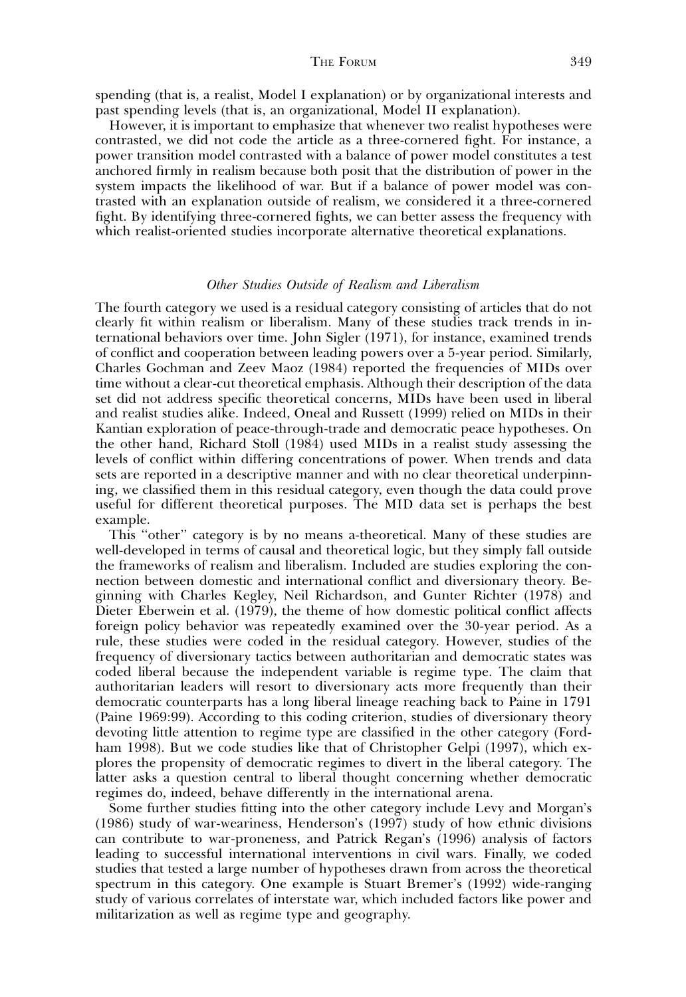spending (that is, a realist, Model I explanation) or by organizational interests and past spending levels (that is, an organizational, Model II explanation).

However, it is important to emphasize that whenever two realist hypotheses were contrasted, we did not code the article as a three-cornered fight. For instance, a power transition model contrasted with a balance of power model constitutes a test anchored firmly in realism because both posit that the distribution of power in the system impacts the likelihood of war. But if a balance of power model was contrasted with an explanation outside of realism, we considered it a three-cornered fight. By identifying three-cornered fights, we can better assess the frequency with which realist-oriented studies incorporate alternative theoretical explanations.

#### Other Studies Outside of Realism and Liberalism

The fourth category we used is a residual category consisting of articles that do not clearly fit within realism or liberalism. Many of these studies track trends in international behaviors over time. John Sigler (1971), for instance, examined trends of conflict and cooperation between leading powers over a 5-year period. Similarly, Charles Gochman and Zeev Maoz (1984) reported the frequencies of MIDs over time without a clear-cut theoretical emphasis. Although their description of the data set did not address specific theoretical concerns, MIDs have been used in liberal and realist studies alike. Indeed, Oneal and Russett (1999) relied on MIDs in their Kantian exploration of peace-through-trade and democratic peace hypotheses. On the other hand, Richard Stoll (1984) used MIDs in a realist study assessing the levels of conflict within differing concentrations of power. When trends and data sets are reported in a descriptive manner and with no clear theoretical underpinning, we classified them in this residual category, even though the data could prove useful for different theoretical purposes. The MID data set is perhaps the best example.

This "other" category is by no means a-theoretical. Many of these studies are well-developed in terms of causal and theoretical logic, but they simply fall outside the frameworks of realism and liberalism. Included are studies exploring the connection between domestic and international conflict and diversionary theory. Beginning with Charles Kegley, Neil Richardson, and Gunter Richter (1978) and Dieter Eberwein et al. (1979), the theme of how domestic political conflict affects foreign policy behavior was repeatedly examined over the 30-year period. As a rule, these studies were coded in the residual category. However, studies of the frequency of diversionary tactics between authoritarian and democratic states was coded liberal because the independent variable is regime type. The claim that authoritarian leaders will resort to diversionary acts more frequently than their democratic counterparts has a long liberal lineage reaching back to Paine in 1791 (Paine 1969:99). According to this coding criterion, studies of diversionary theory devoting little attention to regime type are classified in the other category (Fordham 1998). But we code studies like that of Christopher Gelpi (1997), which explores the propensity of democratic regimes to divert in the liberal category. The latter asks a question central to liberal thought concerning whether democratic regimes do, indeed, behave differently in the international arena.

Some further studies fitting into the other category include Levy and Morgan's (1986) study of war-weariness, Henderson's (1997) study of how ethnic divisions can contribute to war-proneness, and Patrick Regan's (1996) analysis of factors leading to successful international interventions in civil wars. Finally, we coded studies that tested a large number of hypotheses drawn from across the theoretical spectrum in this category. One example is Stuart Bremer's (1992) wide-ranging study of various correlates of interstate war, which included factors like power and militarization as well as regime type and geography.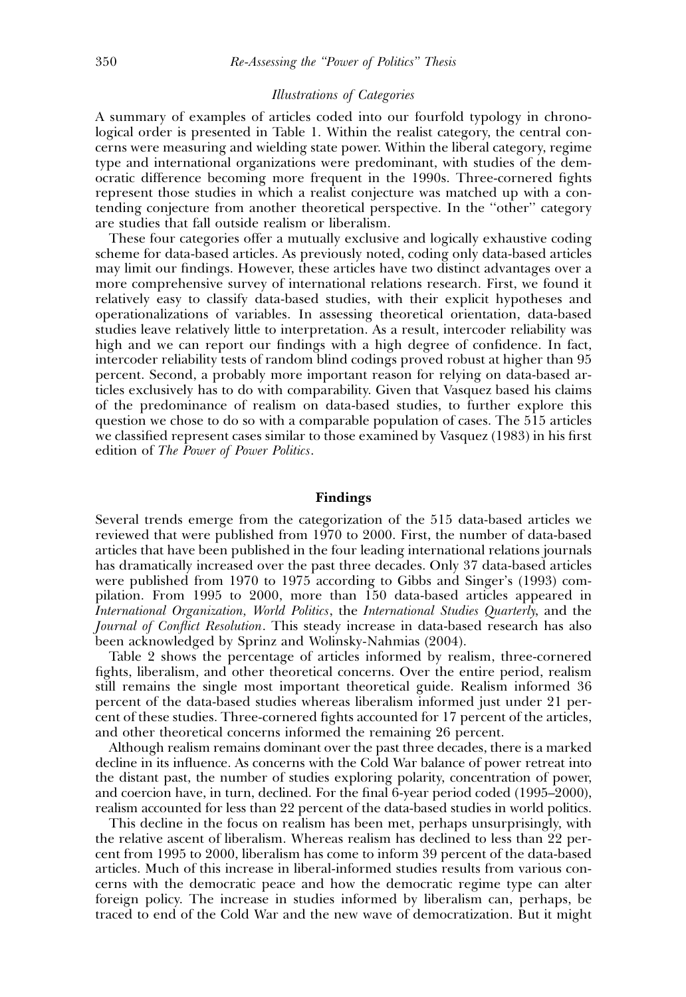# Illustrations of Categories

A summary of examples of articles coded into our fourfold typology in chronological order is presented in Table 1. Within the realist category, the central concerns were measuring and wielding state power. Within the liberal category, regime type and international organizations were predominant, with studies of the democratic difference becoming more frequent in the 1990s. Three-cornered fights represent those studies in which a realist conjecture was matched up with a contending conjecture from another theoretical perspective. In the ''other'' category are studies that fall outside realism or liberalism.

These four categories offer a mutually exclusive and logically exhaustive coding scheme for data-based articles. As previously noted, coding only data-based articles may limit our findings. However, these articles have two distinct advantages over a more comprehensive survey of international relations research. First, we found it relatively easy to classify data-based studies, with their explicit hypotheses and operationalizations of variables. In assessing theoretical orientation, data-based studies leave relatively little to interpretation. As a result, intercoder reliability was high and we can report our findings with a high degree of confidence. In fact, intercoder reliability tests of random blind codings proved robust at higher than 95 percent. Second, a probably more important reason for relying on data-based articles exclusively has to do with comparability. Given that Vasquez based his claims of the predominance of realism on data-based studies, to further explore this question we chose to do so with a comparable population of cases. The 515 articles we classified represent cases similar to those examined by Vasquez (1983) in his first edition of The Power of Power Politics.

#### Findings

Several trends emerge from the categorization of the 515 data-based articles we reviewed that were published from 1970 to 2000. First, the number of data-based articles that have been published in the four leading international relations journals has dramatically increased over the past three decades. Only 37 data-based articles were published from 1970 to 1975 according to Gibbs and Singer's (1993) compilation. From 1995 to 2000, more than 150 data-based articles appeared in International Organization, World Politics, the International Studies Quarterly, and the Journal of Conflict Resolution. This steady increase in data-based research has also been acknowledged by Sprinz and Wolinsky-Nahmias (2004).

Table 2 shows the percentage of articles informed by realism, three-cornered fights, liberalism, and other theoretical concerns. Over the entire period, realism still remains the single most important theoretical guide. Realism informed 36 percent of the data-based studies whereas liberalism informed just under 21 percent of these studies. Three-cornered fights accounted for 17 percent of the articles, and other theoretical concerns informed the remaining 26 percent.

Although realism remains dominant over the past three decades, there is a marked decline in its influence. As concerns with the Cold War balance of power retreat into the distant past, the number of studies exploring polarity, concentration of power, and coercion have, in turn, declined. For the final 6-year period coded (1995–2000), realism accounted for less than 22 percent of the data-based studies in world politics.

This decline in the focus on realism has been met, perhaps unsurprisingly, with the relative ascent of liberalism. Whereas realism has declined to less than 22 percent from 1995 to 2000, liberalism has come to inform 39 percent of the data-based articles. Much of this increase in liberal-informed studies results from various concerns with the democratic peace and how the democratic regime type can alter foreign policy. The increase in studies informed by liberalism can, perhaps, be traced to end of the Cold War and the new wave of democratization. But it might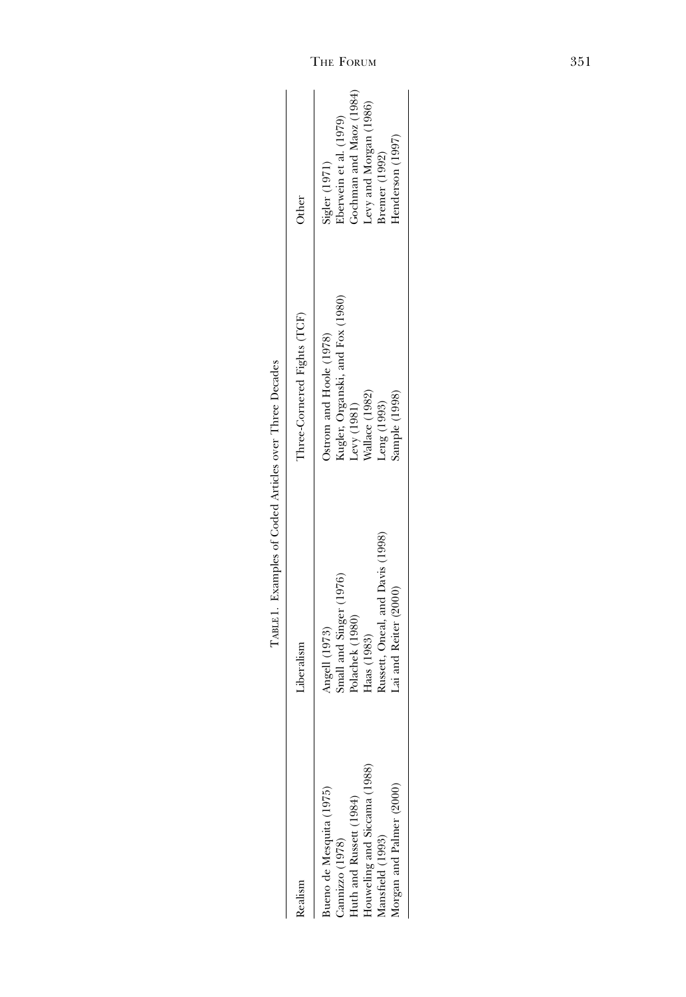|                                                                                                                                                        | EXECUTIVE IN THE LATER VIOLENCE IN THE VIOLENCE IN THE VIOLENCE IN THE VIOLENCE IN THE VIOLENCE IN THE VIOLENCE                         |                                                                                                                                |                                                                                                                                   |
|--------------------------------------------------------------------------------------------------------------------------------------------------------|-----------------------------------------------------------------------------------------------------------------------------------------|--------------------------------------------------------------------------------------------------------------------------------|-----------------------------------------------------------------------------------------------------------------------------------|
| Realism                                                                                                                                                | Liberalism                                                                                                                              | Three-Cornered Fights (TCF)                                                                                                    | Other                                                                                                                             |
| Iouweling and Siccama (1988)<br>forgan and Palmer (2000)<br>sueno de Mesquita (1975)<br>Iuth and Russett (1984)<br>Iansfield (1993)<br>Jannizzo (1978) | Russett, Oneal, and Davis (1998)<br>Small and Singer (1976)<br>Lai and Reiter (2000)<br>Polachek (1980)<br>Angell (1973)<br>Haas (1983) | Kugler, Organski, and Fox (1980)<br>Ostrom and Hoole (1978)<br>Wallace (1982)<br>Sample (1998)<br>Leng (1993)<br>Levy $(1981)$ | Gochman and Maoz (1984)<br>Levy and Morgan (1986)<br>Sigler (1971)<br>Eberwein et al. (1979)<br>Henderson (1997)<br>Bremer (1992) |
|                                                                                                                                                        |                                                                                                                                         |                                                                                                                                |                                                                                                                                   |

TABLE 1. Examples of Coded Articles over Three Decades TABLE 1. Examples of Coded Articles over Three Decades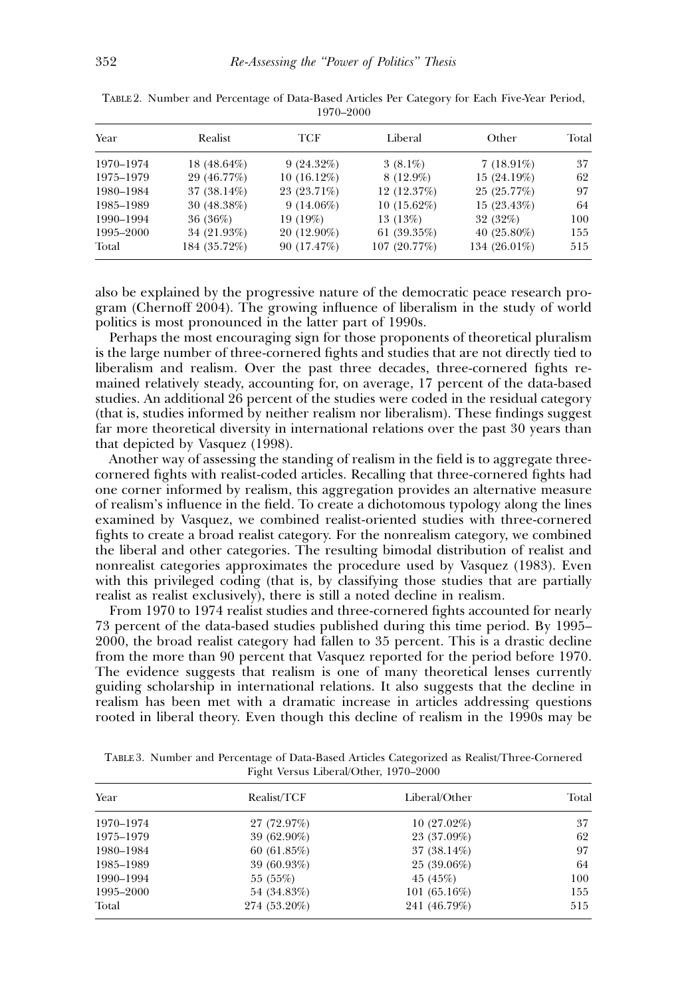| Year      | Realist       | TCF           | Liberal       | Other          | Total |
|-----------|---------------|---------------|---------------|----------------|-------|
| 1970-1974 | $18(48.64\%)$ | 9(24.32%)     | $3(8.1\%)$    | $7(18.91\%)$   | 37    |
| 1975-1979 | 29 (46.77%)   | $10(16.12\%)$ | $8(12.9\%)$   | 15 (24.19%)    | 62    |
| 1980-1984 | 37 (38.14%)   | 23 (23.71%)   | 12 (12.37%)   | 25 (25.77%)    | 97    |
| 1985-1989 | 30 (48.38%)   | $9(14.06\%)$  | $10(15.62\%)$ | $15(23.43\%)$  | 64    |
| 1990-1994 | 36 (36%)      | 19 (19%)      | 13 (13%)      | 32 (32%)       | 100   |
| 1995-2000 | 34 (21.93%)   | 20 (12.90%)   | 61 $(39.35%)$ | 40 $(25.80\%)$ | 155   |
| Total     | 184 (35.72%)  | 90 (17.47%)   | 107 (20.77%)  | 134 (26.01%)   | 515   |

|  | TABLE 2. Number and Percentage of Data-Based Articles Per Category for Each Five-Year Period, |           |  |  |  |
|--|-----------------------------------------------------------------------------------------------|-----------|--|--|--|
|  |                                                                                               | 1970–2000 |  |  |  |

also be explained by the progressive nature of the democratic peace research program (Chernoff 2004). The growing influence of liberalism in the study of world politics is most pronounced in the latter part of 1990s.

Perhaps the most encouraging sign for those proponents of theoretical pluralism is the large number of three-cornered fights and studies that are not directly tied to liberalism and realism. Over the past three decades, three-cornered fights remained relatively steady, accounting for, on average, 17 percent of the data-based studies. An additional 26 percent of the studies were coded in the residual category (that is, studies informed by neither realism nor liberalism). These findings suggest far more theoretical diversity in international relations over the past 30 years than that depicted by Vasquez (1998).

Another way of assessing the standing of realism in the field is to aggregate threecornered fights with realist-coded articles. Recalling that three-cornered fights had one corner informed by realism, this aggregation provides an alternative measure of realism's influence in the field. To create a dichotomous typology along the lines examined by Vasquez, we combined realist-oriented studies with three-cornered fights to create a broad realist category. For the nonrealism category, we combined the liberal and other categories. The resulting bimodal distribution of realist and nonrealist categories approximates the procedure used by Vasquez (1983). Even with this privileged coding (that is, by classifying those studies that are partially realist as realist exclusively), there is still a noted decline in realism.

From 1970 to 1974 realist studies and three-cornered fights accounted for nearly 73 percent of the data-based studies published during this time period. By 1995– 2000, the broad realist category had fallen to 35 percent. This is a drastic decline from the more than 90 percent that Vasquez reported for the period before 1970. The evidence suggests that realism is one of many theoretical lenses currently guiding scholarship in international relations. It also suggests that the decline in realism has been met with a dramatic increase in articles addressing questions rooted in liberal theory. Even though this decline of realism in the 1990s may be

TABLE 3. Number and Percentage of Data-Based Articles Categorized as Realist/Three-Cornered Fight Versus Liberal/Other, 1970–2000

| Year      | Realist/TCF  | Liberal/Other  | Total |
|-----------|--------------|----------------|-------|
| 1970-1974 | 27 (72.97%)  | $10(27.02\%)$  | 37    |
| 1975-1979 | 39 (62.90%)  | 23 (37.09%)    | 62    |
| 1980–1984 | 60(61.85%)   | $37(38.14\%)$  | 97    |
| 1985–1989 | 39 (60.93%)  | 25 (39.06%)    | 64    |
| 1990-1994 | 55 (55%)     | 45 (45%)       | 100   |
| 1995–2000 | 54 (34.83%)  | $101(65.16\%)$ | 155   |
| Total     | 274 (53.20%) | 241 (46.79%)   | 515   |
|           |              |                |       |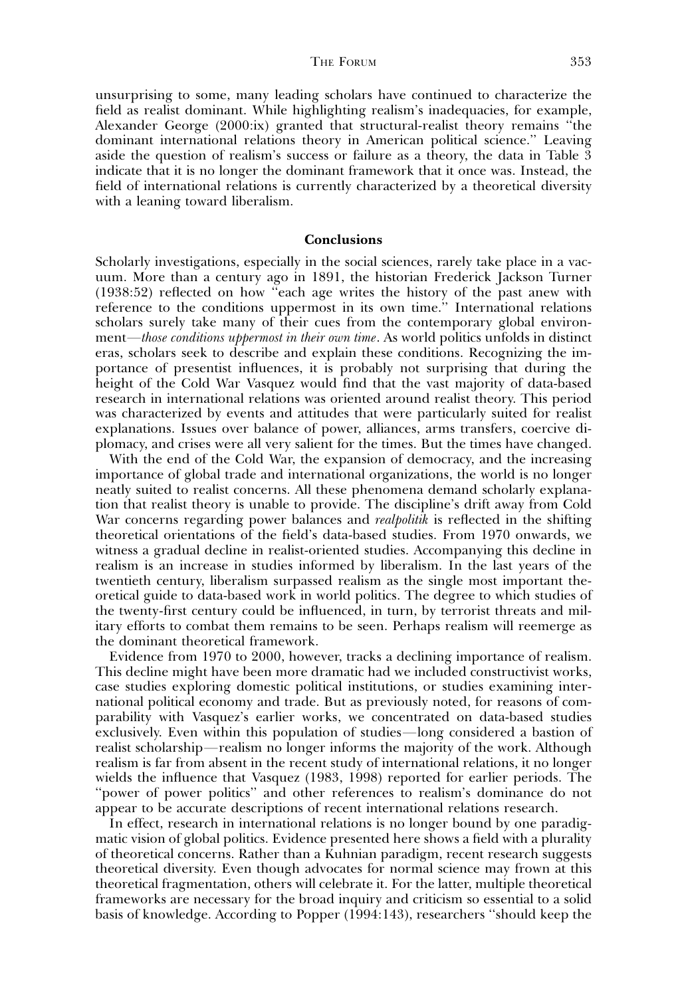unsurprising to some, many leading scholars have continued to characterize the field as realist dominant. While highlighting realism's inadequacies, for example, Alexander George (2000:ix) granted that structural-realist theory remains ''the dominant international relations theory in American political science.'' Leaving aside the question of realism's success or failure as a theory, the data in Table 3 indicate that it is no longer the dominant framework that it once was. Instead, the field of international relations is currently characterized by a theoretical diversity with a leaning toward liberalism.

#### Conclusions

Scholarly investigations, especially in the social sciences, rarely take place in a vacuum. More than a century ago in 1891, the historian Frederick Jackson Turner (1938:52) reflected on how ''each age writes the history of the past anew with reference to the conditions uppermost in its own time.'' International relations scholars surely take many of their cues from the contemporary global environment—those conditions uppermost in their own time. As world politics unfolds in distinct eras, scholars seek to describe and explain these conditions. Recognizing the importance of presentist influences, it is probably not surprising that during the height of the Cold War Vasquez would find that the vast majority of data-based research in international relations was oriented around realist theory. This period was characterized by events and attitudes that were particularly suited for realist explanations. Issues over balance of power, alliances, arms transfers, coercive diplomacy, and crises were all very salient for the times. But the times have changed.

With the end of the Cold War, the expansion of democracy, and the increasing importance of global trade and international organizations, the world is no longer neatly suited to realist concerns. All these phenomena demand scholarly explanation that realist theory is unable to provide. The discipline's drift away from Cold War concerns regarding power balances and *realpolitik* is reflected in the shifting theoretical orientations of the field's data-based studies. From 1970 onwards, we witness a gradual decline in realist-oriented studies. Accompanying this decline in realism is an increase in studies informed by liberalism. In the last years of the twentieth century, liberalism surpassed realism as the single most important theoretical guide to data-based work in world politics. The degree to which studies of the twenty-first century could be influenced, in turn, by terrorist threats and military efforts to combat them remains to be seen. Perhaps realism will reemerge as the dominant theoretical framework.

Evidence from 1970 to 2000, however, tracks a declining importance of realism. This decline might have been more dramatic had we included constructivist works, case studies exploring domestic political institutions, or studies examining international political economy and trade. But as previously noted, for reasons of comparability with Vasquez's earlier works, we concentrated on data-based studies exclusively. Even within this population of studies—long considered a bastion of realist scholarship—realism no longer informs the majority of the work. Although realism is far from absent in the recent study of international relations, it no longer wields the influence that Vasquez (1983, 1998) reported for earlier periods. The ''power of power politics'' and other references to realism's dominance do not appear to be accurate descriptions of recent international relations research.

In effect, research in international relations is no longer bound by one paradigmatic vision of global politics. Evidence presented here shows a field with a plurality of theoretical concerns. Rather than a Kuhnian paradigm, recent research suggests theoretical diversity. Even though advocates for normal science may frown at this theoretical fragmentation, others will celebrate it. For the latter, multiple theoretical frameworks are necessary for the broad inquiry and criticism so essential to a solid basis of knowledge. According to Popper (1994:143), researchers ''should keep the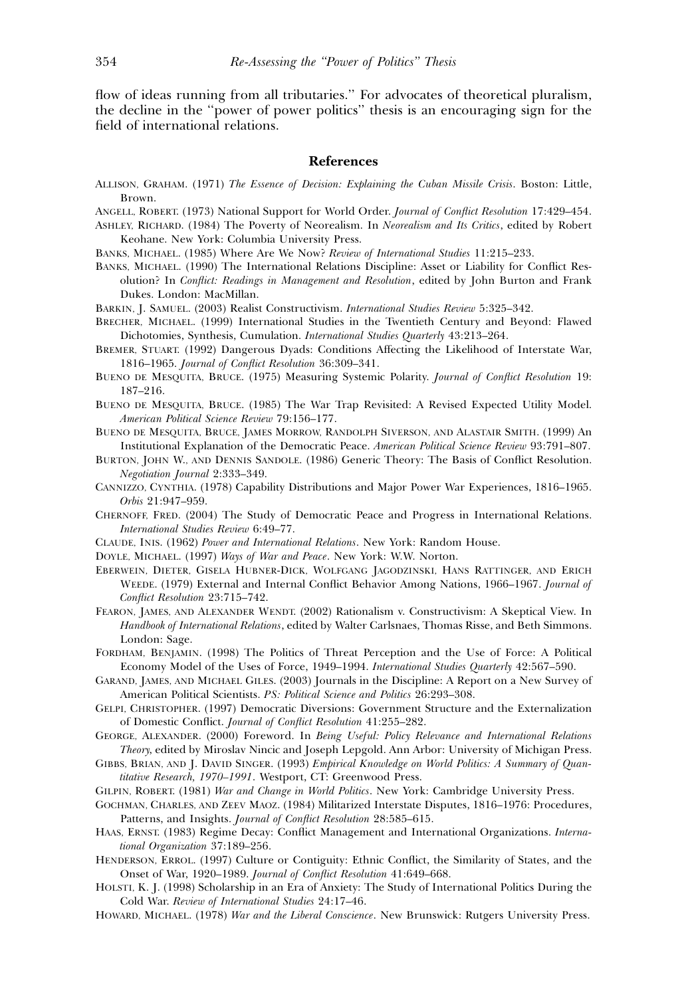flow of ideas running from all tributaries.'' For advocates of theoretical pluralism, the decline in the ''power of power politics'' thesis is an encouraging sign for the field of international relations.

# References

- ALLISON, GRAHAM. (1971) The Essence of Decision: Explaining the Cuban Missile Crisis. Boston: Little, Brown.
- ANGELL, ROBERT. (1973) National Support for World Order. Journal of Conflict Resolution 17:429–454.
- ASHLEY, RICHARD. (1984) The Poverty of Neorealism. In Neorealism and Its Critics, edited by Robert Keohane. New York: Columbia University Press.
- BANKS, MICHAEL. (1985) Where Are We Now? Review of International Studies 11:215–233.
- BANKS, MICHAEL. (1990) The International Relations Discipline: Asset or Liability for Conflict Resolution? In Conflict: Readings in Management and Resolution, edited by John Burton and Frank Dukes. London: MacMillan.
- BARKIN, J. SAMUEL. (2003) Realist Constructivism. International Studies Review 5:325–342.
- BRECHER, MICHAEL. (1999) International Studies in the Twentieth Century and Beyond: Flawed Dichotomies, Synthesis, Cumulation. International Studies Quarterly 43:213–264.
- BREMER, STUART. (1992) Dangerous Dyads: Conditions Affecting the Likelihood of Interstate War, 1816–1965. Journal of Conflict Resolution 36:309–341.
- BUENO DE MESQUITA, BRUCE. (1975) Measuring Systemic Polarity. Journal of Conflict Resolution 19: 187–216.
- BUENO DE MESQUITA, BRUCE. (1985) The War Trap Revisited: A Revised Expected Utility Model. American Political Science Review 79:156–177.
- BUENO DE MESQUITA, BRUCE, JAMES MORROW, RANDOLPH SIVERSON, AND ALASTAIR SMITH. (1999) An Institutional Explanation of the Democratic Peace. American Political Science Review 93:791–807.
- BURTON, JOHN W., AND DENNIS SANDOLE. (1986) Generic Theory: The Basis of Conflict Resolution. Negotiation Journal 2:333–349.
- CANNIZZO, CYNTHIA. (1978) Capability Distributions and Major Power War Experiences, 1816–1965. Orbis 21:947–959.
- CHERNOFF, FRED. (2004) The Study of Democratic Peace and Progress in International Relations. International Studies Review 6:49–77.
- CLAUDE, INIS. (1962) Power and International Relations. New York: Random House.
- DOYLE, MICHAEL. (1997) Ways of War and Peace. New York: W.W. Norton.
- EBERWEIN, DIETER, GISELA HUBNER-DICK, WOLFGANG JAGODZINSKI, HANS RATTINGER, AND ERICH WEEDE. (1979) External and Internal Conflict Behavior Among Nations, 1966–1967. Journal of Conflict Resolution 23:715–742.
- FEARON, JAMES, AND ALEXANDER WENDT. (2002) Rationalism v. Constructivism: A Skeptical View. In Handbook of International Relations, edited by Walter Carlsnaes, Thomas Risse, and Beth Simmons. London: Sage.
- FORDHAM, BENJAMIN. (1998) The Politics of Threat Perception and the Use of Force: A Political Economy Model of the Uses of Force, 1949–1994. International Studies Quarterly 42:567–590.
- GARAND, JAMES, AND MICHAEL GILES. (2003) Journals in the Discipline: A Report on a New Survey of American Political Scientists. PS: Political Science and Politics 26:293–308.
- GELPI, CHRISTOPHER. (1997) Democratic Diversions: Government Structure and the Externalization of Domestic Conflict. Journal of Conflict Resolution 41:255–282.
- GEORGE, ALEXANDER. (2000) Foreword. In Being Useful: Policy Relevance and International Relations Theory, edited by Miroslav Nincic and Joseph Lepgold. Ann Arbor: University of Michigan Press.
- GIBBS, BRIAN, AND J. DAVID SINGER. (1993) Empirical Knowledge on World Politics: A Summary of Quantitative Research, 1970–1991. Westport, CT: Greenwood Press.
- GILPIN, ROBERT. (1981) War and Change in World Politics. New York: Cambridge University Press.
- GOCHMAN, CHARLES, AND ZEEV MAOZ. (1984) Militarized Interstate Disputes, 1816–1976: Procedures, Patterns, and Insights. Journal of Conflict Resolution 28:585–615.
- HAAS, ERNST. (1983) Regime Decay: Conflict Management and International Organizations. International Organization 37:189–256.
- HENDERSON, ERROL. (1997) Culture or Contiguity: Ethnic Conflict, the Similarity of States, and the Onset of War, 1920–1989. Journal of Conflict Resolution 41:649–668.
- HOLSTI, K. J. (1998) Scholarship in an Era of Anxiety: The Study of International Politics During the Cold War. Review of International Studies 24:17–46.
- HOWARD, MICHAEL. (1978) War and the Liberal Conscience. New Brunswick: Rutgers University Press.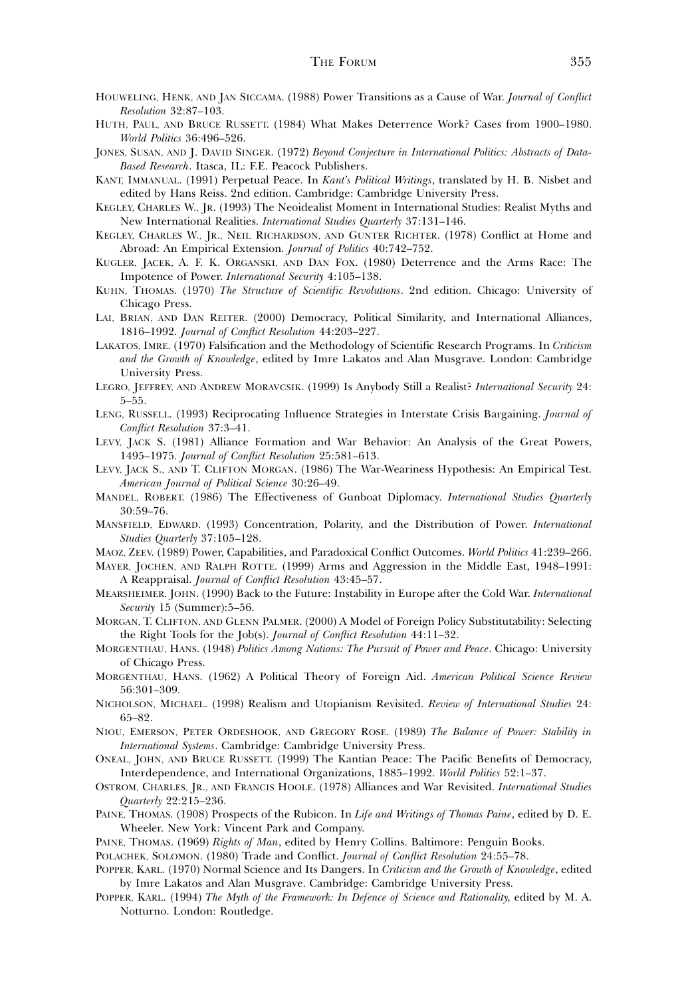- HOUWELING, HENK, AND JAN SICCAMA. (1988) Power Transitions as a Cause of War. Journal of Conflict Resolution 32:87–103.
- HUTH, PAUL, AND BRUCE RUSSETT. (1984) What Makes Deterrence Work? Cases from 1900–1980. World Politics 36:496–526.
- JONES, SUSAN, AND J. DAVID SINGER. (1972) Beyond Conjecture in International Politics: Abstracts of Data-Based Research. Itasca, IL: F.E. Peacock Publishers.
- KANT, IMMANUAL. (1991) Perpetual Peace. In Kant's Political Writings, translated by H. B. Nisbet and edited by Hans Reiss. 2nd edition. Cambridge: Cambridge University Press.
- KEGLEY, CHARLES W., JR. (1993) The Neoidealist Moment in International Studies: Realist Myths and New International Realities. International Studies Quarterly 37:131–146.
- KEGLEY, CHARLES W., JR., NEIL RICHARDSON, AND GUNTER RICHTER. (1978) Conflict at Home and Abroad: An Empirical Extension. Journal of Politics 40:742–752.
- KUGLER, JACEK, A. F. K. ORGANSKI, AND DAN FOX. (1980) Deterrence and the Arms Race: The Impotence of Power. International Security 4:105–138.
- KUHN, THOMAS. (1970) The Structure of Scientific Revolutions. 2nd edition. Chicago: University of Chicago Press.
- LAI, BRIAN, AND DAN REITER. (2000) Democracy, Political Similarity, and International Alliances, 1816–1992. Journal of Conflict Resolution 44:203–227.
- LAKATOS, IMRE. (1970) Falsification and the Methodology of Scientific Research Programs. In Criticism and the Growth of Knowledge, edited by Imre Lakatos and Alan Musgrave. London: Cambridge University Press.
- LEGRO, JEFFREY, AND ANDREW MORAVCSIK. (1999) Is Anybody Still a Realist? International Security 24: 5–55.
- LENG, RUSSELL. (1993) Reciprocating Influence Strategies in Interstate Crisis Bargaining. Journal of Conflict Resolution 37:3–41.
- LEVY, JACK S. (1981) Alliance Formation and War Behavior: An Analysis of the Great Powers, 1495–1975. Journal of Conflict Resolution 25:581–613.
- LEVY, JACK S., AND T. CLIFTON MORGAN. (1986) The War-Weariness Hypothesis: An Empirical Test. American Journal of Political Science 30:26–49.
- MANDEL, ROBERT. (1986) The Effectiveness of Gunboat Diplomacy. International Studies Quarterly 30:59–76.
- MANSFIELD, EDWARD. (1993) Concentration, Polarity, and the Distribution of Power. International Studies Quarterly 37:105–128.
- MAOZ, ZEEV. (1989) Power, Capabilities, and Paradoxical Conflict Outcomes. World Politics 41:239–266.
- MAYER, JOCHEN, AND RALPH ROTTE. (1999) Arms and Aggression in the Middle East, 1948–1991: A Reappraisal. Journal of Conflict Resolution 43:45–57.
- MEARSHEIMER, JOHN. (1990) Back to the Future: Instability in Europe after the Cold War. International Security 15 (Summer):5–56.
- MORGAN, T. CLIFTON, AND GLENN PALMER. (2000) A Model of Foreign Policy Substitutability: Selecting the Right Tools for the Job(s). Journal of Conflict Resolution 44:11–32.
- MORGENTHAU, HANS. (1948) Politics Among Nations: The Pursuit of Power and Peace. Chicago: University of Chicago Press.
- MORGENTHAU, HANS. (1962) A Political Theory of Foreign Aid. American Political Science Review 56:301–309.
- NICHOLSON, MICHAEL. (1998) Realism and Utopianism Revisited. Review of International Studies 24: 65–82.
- NIOU, EMERSON, PETER ORDESHOOK, AND GREGORY ROSE. (1989) The Balance of Power: Stability in International Systems. Cambridge: Cambridge University Press.
- ONEAL, JOHN, AND BRUCE RUSSETT. (1999) The Kantian Peace: The Pacific Benefits of Democracy, Interdependence, and International Organizations, 1885–1992. World Politics 52:1–37.
- OSTROM, CHARLES, JR., AND FRANCIS HOOLE. (1978) Alliances and War Revisited. International Studies Quarterly 22:215–236.
- PAINE, THOMAS. (1908) Prospects of the Rubicon. In Life and Writings of Thomas Paine, edited by D. E. Wheeler. New York: Vincent Park and Company.
- PAINE, THOMAS. (1969) Rights of Man, edited by Henry Collins. Baltimore: Penguin Books.
- POLACHEK, SOLOMON. (1980) Trade and Conflict. Journal of Conflict Resolution 24:55–78.
- POPPER, KARL. (1970) Normal Science and Its Dangers. In Criticism and the Growth of Knowledge, edited by Imre Lakatos and Alan Musgrave. Cambridge: Cambridge University Press.
- POPPER, KARL. (1994) The Myth of the Framework: In Defence of Science and Rationality, edited by M. A. Notturno. London: Routledge.